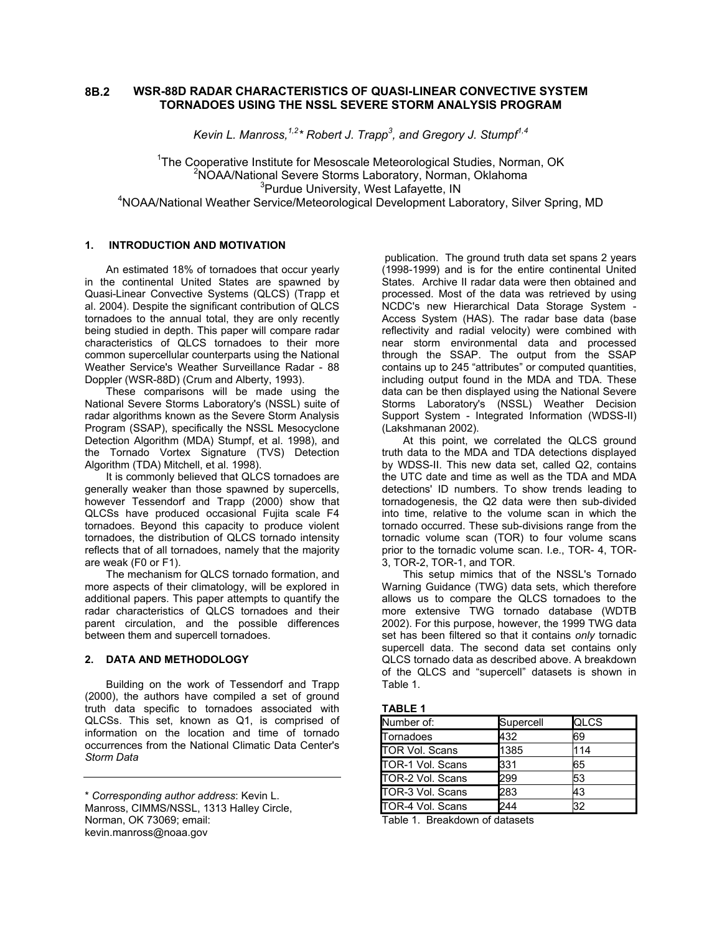#### **WSR-88D RADAR CHARACTERISTICS OF QUASI-LINEAR CONVECTIVE SYSTEM TORNADOES USING THE NSSL SEVERE STORM ANALYSIS PROGRAM 8B.2**

Kevin L. Manross,  $^{1,2}$ \* Robert J. Trapp<sup>3</sup>, and Gregory J. Stumpf<sup>1,4</sup>

<sup>1</sup>The Cooperative Institute for Mesoscale Meteorological Studies, Norman, OK <sup>2</sup>NOAA/National Severe Storms Laboratory, Norman, Oklahoma <sup>3</sup>Purdue University, West Lafayette, IN Purdue University, West Lafayette, IN 4 NOAA/National Weather Service/Meteorological Development Laboratory, Silver Spring, MD

### **1. INTRODUCTION AND MOTIVATION**

An estimated 18% of tornadoes that occur yearly in the continental United States are spawned by Quasi-Linear Convective Systems (QLCS) (Trapp et al. 2004). Despite the significant contribution of QLCS tornadoes to the annual total, they are only recently being studied in depth. This paper will compare radar characteristics of QLCS tornadoes to their more common supercellular counterparts using the National Weather Service's Weather Surveillance Radar - 88 Doppler (WSR-88D) (Crum and Alberty, 1993).

These comparisons will be made using the National Severe Storms Laboratory's (NSSL) suite of radar algorithms known as the Severe Storm Analysis Program (SSAP), specifically the NSSL Mesocyclone Detection Algorithm (MDA) Stumpf, et al. 1998), and the Tornado Vortex Signature (TVS) Detection Algorithm (TDA) Mitchell, et al. 1998).

It is commonly believed that QLCS tornadoes are generally weaker than those spawned by supercells, however Tessendorf and Trapp (2000) show that QLCSs have produced occasional Fujita scale F4 tornadoes. Beyond this capacity to produce violent tornadoes, the distribution of QLCS tornado intensity reflects that of all tornadoes, namely that the majority are weak (F0 or F1).

The mechanism for QLCS tornado formation, and more aspects of their climatology, will be explored in additional papers. This paper attempts to quantify the radar characteristics of QLCS tornadoes and their parent circulation, and the possible differences between them and supercell tornadoes.

# **2. DATA AND METHODOLOGY**

Building on the work of Tessendorf and Trapp (2000), the authors have compiled a set of ground truth data specific to tornadoes associated with QLCSs. This set, known as Q1, is comprised of information on the location and time of tornado occurrences from the National Climatic Data Center's *Storm Data* 

publication. The ground truth data set spans 2 years (1998-1999) and is for the entire continental United States. Archive II radar data were then obtained and processed. Most of the data was retrieved by using NCDC's new Hierarchical Data Storage System - Access System (HAS). The radar base data (base reflectivity and radial velocity) were combined with near storm environmental data and processed through the SSAP. The output from the SSAP contains up to 245 "attributes" or computed quantities, including output found in the MDA and TDA. These data can be then displayed using the National Severe Storms Laboratory's (NSSL) Weather Decision Support System - Integrated Information (WDSS-II) (Lakshmanan 2002).

At this point, we correlated the QLCS ground truth data to the MDA and TDA detections displayed by WDSS-II. This new data set, called Q2, contains the UTC date and time as well as the TDA and MDA detections' ID numbers. To show trends leading to tornadogenesis, the Q2 data were then sub-divided into time, relative to the volume scan in which the tornado occurred. These sub-divisions range from the tornadic volume scan (TOR) to four volume scans prior to the tornadic volume scan. I.e., TOR- 4, TOR-3, TOR-2, TOR-1, and TOR.

This setup mimics that of the NSSL's Tornado Warning Guidance (TWG) data sets, which therefore allows us to compare the QLCS tornadoes to the more extensive TWG tornado database (WDTB 2002). For this purpose, however, the 1999 TWG data set has been filtered so that it contains *only* tornadic supercell data. The second data set contains only QLCS tornado data as described above. A breakdown of the QLCS and "supercell" datasets is shown in Table 1.

### **TABLE 1**

| Number of:            | Supercell | <b>QLCS</b> |
|-----------------------|-----------|-------------|
| Tornadoes             | 432       | 69          |
| <b>TOR Vol. Scans</b> | 1385      | 114         |
| TOR-1 Vol. Scans      | 331       | 65          |
| TOR-2 Vol. Scans      | 299       | 53          |
| TOR-3 Vol. Scans      | 283       | 43          |
| TOR-4 Vol. Scans      | 244       | 32          |

Table 1. Breakdown of datasets

<sup>\*</sup> *Corresponding author address*: Kevin L. Manross, CIMMS/NSSL, 1313 Halley Circle, Norman, OK 73069; email: kevin.manross@noaa.gov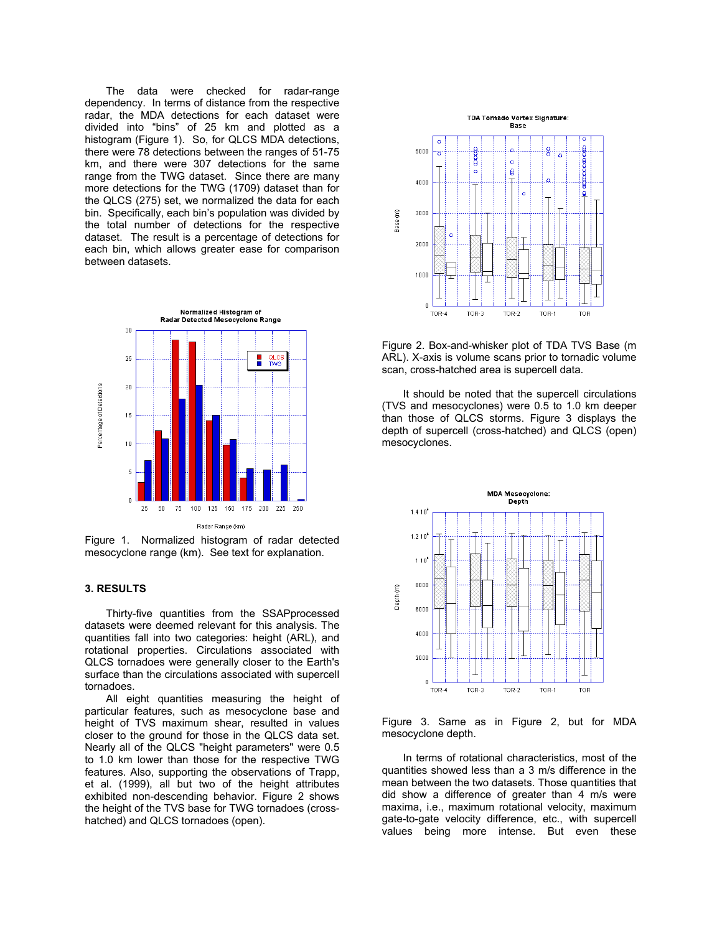The data were checked for radar-range dependency. In terms of distance from the respective radar, the MDA detections for each dataset were divided into "bins" of 25 km and plotted as a histogram (Figure 1). So, for QLCS MDA detections, there were 78 detections between the ranges of 51-75 km, and there were 307 detections for the same range from the TWG dataset. Since there are many more detections for the TWG (1709) dataset than for the QLCS (275) set, we normalized the data for each bin. Specifically, each bin's population was divided by the total number of detections for the respective dataset. The result is a percentage of detections for each bin, which allows greater ease for comparison between datasets.



Figure 1. Normalized histogram of radar detected mesocyclone range (km). See text for explanation.

# **3. RESULTS**

Thirty-five quantities from the SSAPprocessed datasets were deemed relevant for this analysis. The quantities fall into two categories: height (ARL), and rotational properties. Circulations associated with QLCS tornadoes were generally closer to the Earth's surface than the circulations associated with supercell tornadoes.

All eight quantities measuring the height of particular features, such as mesocyclone base and height of TVS maximum shear, resulted in values closer to the ground for those in the QLCS data set. Nearly all of the QLCS "height parameters" were 0.5 to 1.0 km lower than those for the respective TWG features. Also, supporting the observations of Trapp, et al. (1999), all but two of the height attributes exhibited non-descending behavior. Figure 2 shows the height of the TVS base for TWG tornadoes (crosshatched) and QLCS tornadoes (open).



Figure 2. Box-and-whisker plot of TDA TVS Base (m ARL). X-axis is volume scans prior to tornadic volume scan, cross-hatched area is supercell data.

It should be noted that the supercell circulations (TVS and mesocyclones) were 0.5 to 1.0 km deeper than those of QLCS storms. Figure 3 displays the depth of supercell (cross-hatched) and QLCS (open) mesocyclones.



Figure 3. Same as in Figure 2, but for MDA mesocyclone depth.

In terms of rotational characteristics, most of the quantities showed less than a 3 m/s difference in the mean between the two datasets. Those quantities that did show a difference of greater than 4 m/s were maxima, i.e., maximum rotational velocity, maximum gate-to-gate velocity difference, etc., with supercell values being more intense. But even these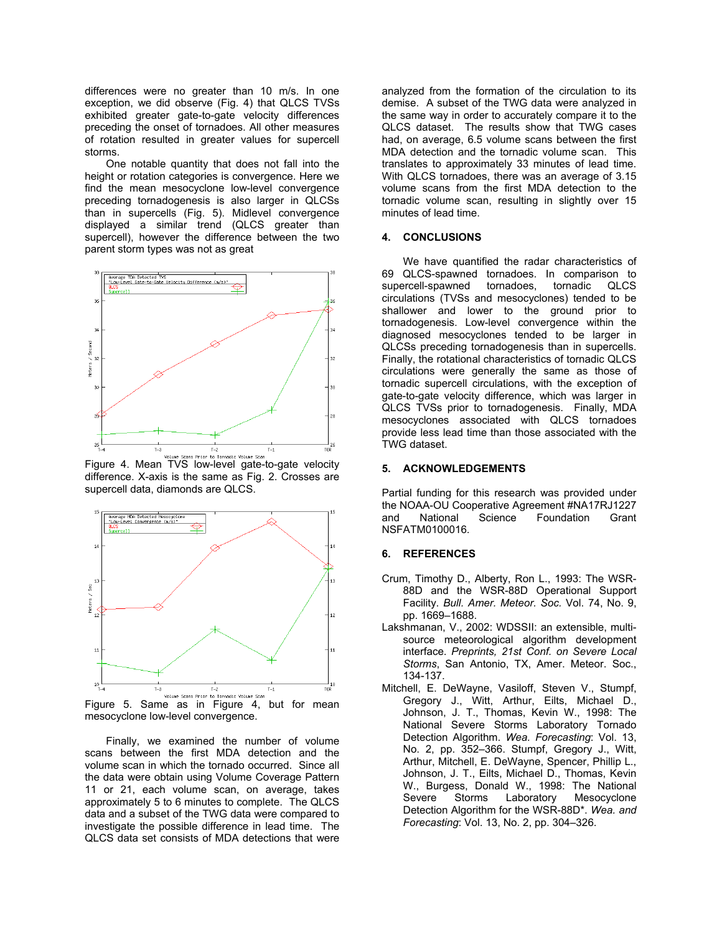differences were no greater than 10 m/s. In one exception, we did observe (Fig. 4) that QLCS TVSs exhibited greater gate-to-gate velocity differences preceding the onset of tornadoes. All other measures of rotation resulted in greater values for supercell storms.

One notable quantity that does not fall into the height or rotation categories is convergence. Here we find the mean mesocyclone low-level convergence preceding tornadogenesis is also larger in QLCSs than in supercells (Fig. 5). Midlevel convergence displayed a similar trend (QLCS greater than supercell), however the difference between the two parent storm types was not as great



Figure 4. Mean TVS low-level gate-to-gate velocity difference. X-axis is the same as Fig. 2. Crosses are supercell data, diamonds are QLCS.



Figure 5. Same as in Figure 4, but for mean mesocyclone low-level convergence.

Finally, we examined the number of volume scans between the first MDA detection and the volume scan in which the tornado occurred. Since all the data were obtain using Volume Coverage Pattern 11 or 21, each volume scan, on average, takes approximately 5 to 6 minutes to complete. The QLCS data and a subset of the TWG data were compared to investigate the possible difference in lead time. The QLCS data set consists of MDA detections that were

analyzed from the formation of the circulation to its demise. A subset of the TWG data were analyzed in the same way in order to accurately compare it to the QLCS dataset. The results show that TWG cases had, on average, 6.5 volume scans between the first MDA detection and the tornadic volume scan. This translates to approximately 33 minutes of lead time. With QLCS tornadoes, there was an average of 3.15 volume scans from the first MDA detection to the tornadic volume scan, resulting in slightly over 15 minutes of lead time.

## **4. CONCLUSIONS**

We have quantified the radar characteristics of 69 QLCS-spawned tornadoes. In comparison to supercell-spawned tornadoes, tornadic QLCS circulations (TVSs and mesocyclones) tended to be shallower and lower to the ground prior to tornadogenesis. Low-level convergence within the diagnosed mesocyclones tended to be larger in QLCSs preceding tornadogenesis than in supercells. Finally, the rotational characteristics of tornadic QLCS circulations were generally the same as those of tornadic supercell circulations, with the exception of gate-to-gate velocity difference, which was larger in QLCS TVSs prior to tornadogenesis. Finally, MDA mesocyclones associated with QLCS tornadoes provide less lead time than those associated with the TWG dataset.

### **5. ACKNOWLEDGEMENTS**

Partial funding for this research was provided under the NOAA-OU Cooperative Agreement #NA17RJ1227<br>and National Science Foundation Grant Foundation Grant NSFATM0100016.

### **6. REFERENCES**

- Crum, Timothy D., Alberty, Ron L., 1993: The WSR-88D and the WSR-88D Operational Support Facility. *Bull. Amer. Meteor. Soc.* Vol. 74, No. 9, pp. 1669–1688.
- Lakshmanan, V., 2002: WDSSII: an extensible, multisource meteorological algorithm development interface. *Preprints, 21st Conf. on Severe Local Storms*, San Antonio, TX, Amer. Meteor. Soc., 134-137.
- Mitchell, E. DeWayne, Vasiloff, Steven V., Stumpf, Gregory J., Witt, Arthur, Eilts, Michael D., Johnson, J. T., Thomas, Kevin W., 1998: The National Severe Storms Laboratory Tornado Detection Algorithm. *Wea. Forecasting*: Vol. 13, No. 2, pp. 352–366. Stumpf, Gregory J., Witt, Arthur, Mitchell, E. DeWayne, Spencer, Phillip L., Johnson, J. T., Eilts, Michael D., Thomas, Kevin W., Burgess, Donald W., 1998: The National Severe Storms Laboratory Mesocyclone Detection Algorithm for the WSR-88D\*. *Wea. and Forecasting*: Vol. 13, No. 2, pp. 304–326.